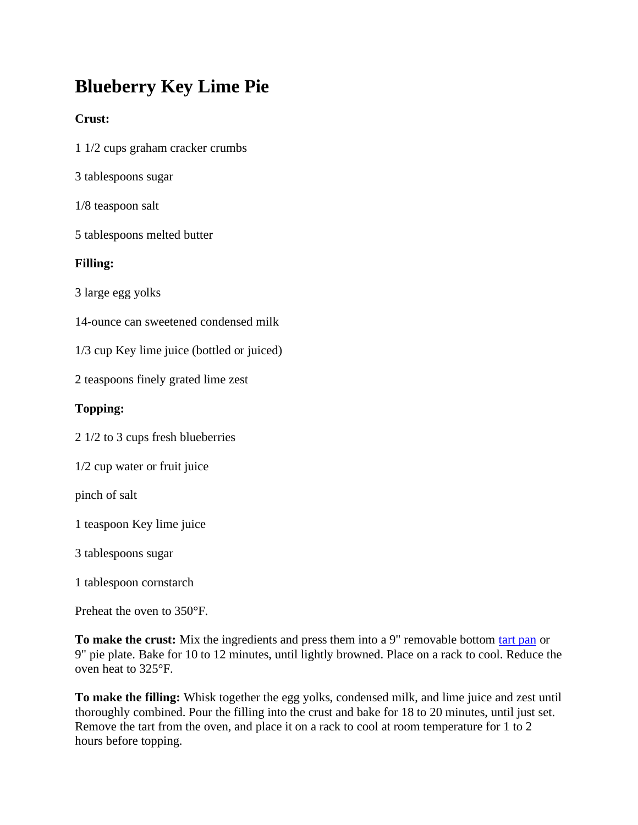## **Blueberry Key Lime Pie**

## **Crust:**

- 1 1/2 cups graham cracker crumbs
- 3 tablespoons sugar
- 1/8 teaspoon salt
- 5 tablespoons melted butter

## **Filling:**

3 large egg yolks

14-ounce can sweetened condensed milk

1/3 cup Key lime juice (bottled or juiced)

2 teaspoons finely grated lime zest

## **Topping:**

2 1/2 to 3 cups fresh blueberries

1/2 cup water or fruit juice

pinch of salt

1 teaspoon Key lime juice

3 tablespoons sugar

1 tablespoon cornstarch

Preheat the oven to 350°F.

**To make the crust:** Mix the ingredients and press them into a 9" removable bottom [tart pan](https://www.kingarthurflour.com/shop/landing.jsp?go=DetailDefault&id=2422) or 9" pie plate. Bake for 10 to 12 minutes, until lightly browned. Place on a rack to cool. Reduce the oven heat to 325°F.

**To make the filling:** Whisk together the egg yolks, condensed milk, and lime juice and zest until thoroughly combined. Pour the filling into the crust and bake for 18 to 20 minutes, until just set. Remove the tart from the oven, and place it on a rack to cool at room temperature for 1 to 2 hours before topping.